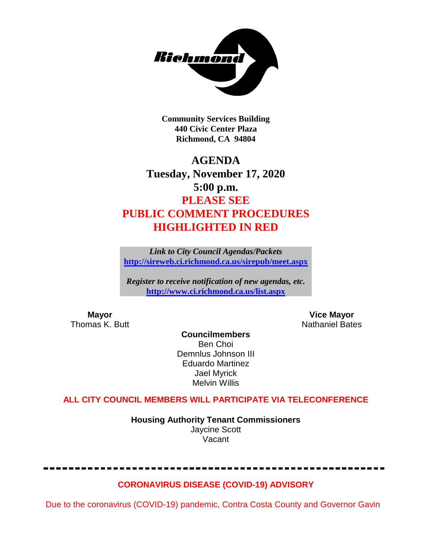

**Community Services Building 440 Civic Center Plaza Richmond, CA 94804**

# **AGENDA Tuesday, November 17, 2020 5:00 p.m. PLEASE SEE PUBLIC COMMENT PROCEDURES HIGHLIGHTED IN RED**

*Link to City Council Agendas/Packets* **<http://sireweb.ci.richmond.ca.us/sirepub/meet.aspx>**

*Register to receive notification of new agendas, etc.* **<http://www.ci.richmond.ca.us/list.aspx>**

**Mayor Mayor Wice Mayor Vice Mayor Vice Mayor Vice Mayor Vice Mayor Vice Mayor Vice Mayor Vice Mayor Vice Mayor Vice Mayor Vice Mayor Vice Mayor Vice Mayor Vice Mayor Vice Mayor Vice Mayor** Nathaniel Bates

**Councilmembers** Ben Choi Demnlus Johnson III Eduardo Martinez Jael Myrick Melvin Willis

# **ALL CITY COUNCIL MEMBERS WILL PARTICIPATE VIA TELECONFERENCE**

**Housing Authority Tenant Commissioners** Jaycine Scott Vacant

# **CORONAVIRUS DISEASE (COVID-19) ADVISORY**

Due to the coronavirus (COVID-19) pandemic, Contra Costa County and Governor Gavin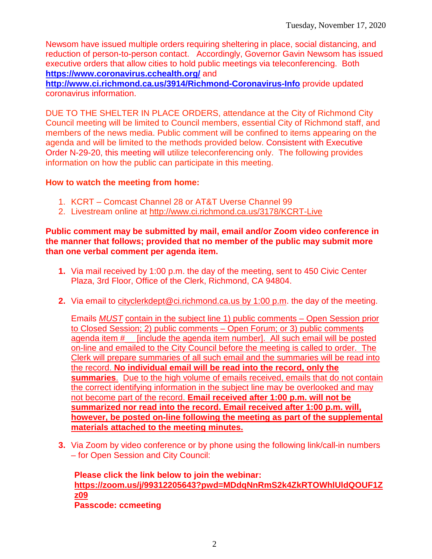Newsom have issued multiple orders requiring sheltering in place, social distancing, and reduction of person-to-person contact. Accordingly, Governor Gavin Newsom has issued executive orders that allow cities to hold public meetings via teleconferencing. Both **<https://www.coronavirus.cchealth.org/>** and

**<http://www.ci.richmond.ca.us/3914/Richmond-Coronavirus-Info>** provide updated coronavirus information.

DUE TO THE SHELTER IN PLACE ORDERS, attendance at the City of Richmond City Council meeting will be limited to Council members, essential City of Richmond staff, and members of the news media. Public comment will be confined to items appearing on the agenda and will be limited to the methods provided below. Consistent with Executive Order N-29-20, this meeting will utilize teleconferencing only. The following provides information on how the public can participate in this meeting.

#### **How to watch the meeting from home:**

- 1. KCRT Comcast Channel 28 or AT&T Uverse Channel 99
- 2. Livestream online at<http://www.ci.richmond.ca.us/3178/KCRT-Live>

#### **Public comment may be submitted by mail, email and/or Zoom video conference in the manner that follows; provided that no member of the public may submit more than one verbal comment per agenda item.**

- **1.** Via mail received by 1:00 p.m. the day of the meeting, sent to 450 Civic Center Plaza, 3rd Floor, Office of the Clerk, Richmond, CA 94804.
- **2.** Via email to [cityclerkdept@ci.richmond.ca.us](mailto:cityclerkdept@ci.richmond.ca.us) by 1:00 p.m. the day of the meeting.

Emails *MUST* contain in the subject line 1) public comments – Open Session prior to Closed Session; 2) public comments – Open Forum; or 3) public comments agenda item #\_\_ [include the agenda item number]. All such email will be posted on-line and emailed to the City Council before the meeting is called to order. The Clerk will prepare summaries of all such email and the summaries will be read into the record. **No individual email will be read into the record, only the summaries**. Due to the high volume of emails received, emails that do not contain the correct identifying information in the subject line may be overlooked and may not become part of the record. **Email received after 1:00 p.m. will not be summarized nor read into the record. Email received after 1:00 p.m. will, however, be posted on-line following the meeting as part of the supplemental materials attached to the meeting minutes.**

**3.** Via Zoom by video conference or by phone using the following link/call-in numbers – for Open Session and City Council:

**Please click the link below to join the webinar: [https://zoom.us/j/99312205643?pwd=MDdqNnRmS2k4ZkRTOWhlUldQOUF1Z](https://zoom.us/j/99312205643?pwd=MDdqNnRmS2k4ZkRTOWhlUldQOUF1Zz09) [z09](https://zoom.us/j/99312205643?pwd=MDdqNnRmS2k4ZkRTOWhlUldQOUF1Zz09) Passcode: ccmeeting**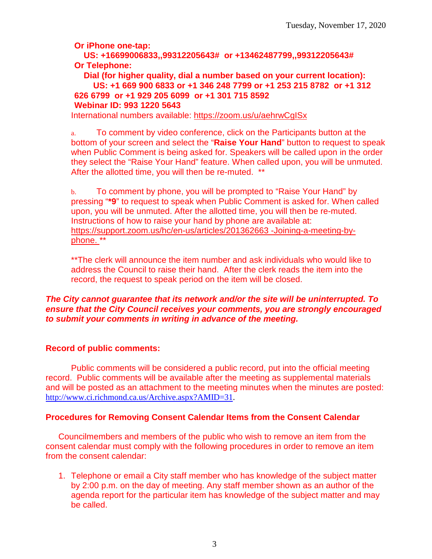**Or iPhone one-tap:**

**US: +16699006833,,99312205643# or +13462487799,,99312205643# Or Telephone:**

**Dial (for higher quality, dial a number based on your current location): US: +1 669 900 6833 or +1 346 248 7799 or +1 253 215 8782 or +1 312 626 6799 or +1 929 205 6099 or +1 301 715 8592 Webinar ID: 993 1220 5643**

International numbers available:<https://zoom.us/u/aehrwCgISx>

a. To comment by video conference, click on the Participants button at the bottom of your screen and select the "**Raise Your Hand**" button to request to speak when Public Comment is being asked for. Speakers will be called upon in the order they select the "Raise Your Hand" feature. When called upon, you will be unmuted. After the allotted time, you will then be re-muted. \*\*

b. To comment by phone, you will be prompted to "Raise Your Hand" by pressing "**\*9**" to request to speak when Public Comment is asked for. When called upon, you will be unmuted. After the allotted time, you will then be re-muted. Instructions of how to raise your hand by phone are available at: [https://support.zoom.us/hc/en-us/articles/201362663 -Joining-a-meeting-by](https://support.zoom.us/hc/en-us/articles/201362663)[phone.](https://support.zoom.us/hc/en-us/articles/201362663) \*\*

\*\*The clerk will announce the item number and ask individuals who would like to address the Council to raise their hand. After the clerk reads the item into the record, the request to speak period on the item will be closed.

### *The City cannot guarantee that its network and/or the site will be uninterrupted. To ensure that the City Council receives your comments, you are strongly encouraged to submit your comments in writing in advance of the meeting.*

# **Record of public comments:**

Public comments will be considered a public record, put into the official meeting record. Public comments will be available after the meeting as supplemental materials and will be posted as an attachment to the meeting minutes when the minutes are posted: [http://www.ci.richmond.ca.us/Archive.aspx?AMID=31.](http://www.ci.richmond.ca.us/Archive.aspx?AMID=31)

# **Procedures for Removing Consent Calendar Items from the Consent Calendar**

Councilmembers and members of the public who wish to remove an item from the consent calendar must comply with the following procedures in order to remove an item from the consent calendar:

1. Telephone or email a City staff member who has knowledge of the subject matter by 2:00 p.m. on the day of meeting. Any staff member shown as an author of the agenda report for the particular item has knowledge of the subject matter and may be called.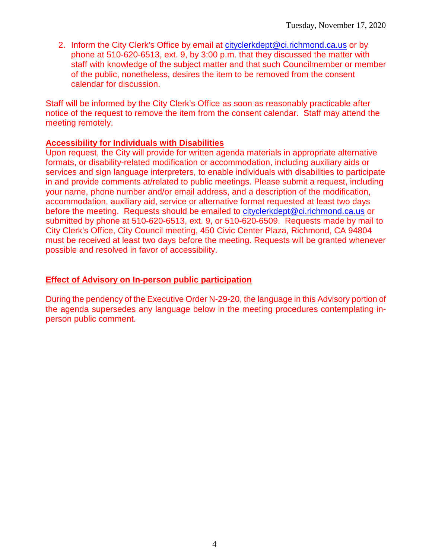2. Inform the City Clerk's Office by email at [cityclerkdept@ci.richmond.ca.us](mailto:cityclerkdept@ci.richmond.ca.us) or by phone at 510-620-6513, ext. 9, by 3:00 p.m. that they discussed the matter with staff with knowledge of the subject matter and that such Councilmember or member of the public, nonetheless, desires the item to be removed from the consent calendar for discussion.

Staff will be informed by the City Clerk's Office as soon as reasonably practicable after notice of the request to remove the item from the consent calendar. Staff may attend the meeting remotely.

#### **Accessibility for Individuals with Disabilities**

Upon request, the City will provide for written agenda materials in appropriate alternative formats, or disability-related modification or accommodation, including auxiliary aids or services and sign language interpreters, to enable individuals with disabilities to participate in and provide comments at/related to public meetings. Please submit a request, including your name, phone number and/or email address, and a description of the modification, accommodation, auxiliary aid, service or alternative format requested at least two days before the meeting. Requests should be emailed to [cityclerkdept@ci.richmond.ca.us](mailto:cityclerkdept@ci.richmond.ca.us) or submitted by phone at 510-620-6513, ext. 9, or 510-620-6509. Requests made by mail to City Clerk's Office, City Council meeting, 450 Civic Center Plaza, Richmond, CA 94804 must be received at least two days before the meeting. Requests will be granted whenever possible and resolved in favor of accessibility.

#### **Effect of Advisory on In-person public participation**

During the pendency of the Executive Order N-29-20, the language in this Advisory portion of the agenda supersedes any language below in the meeting procedures contemplating inperson public comment.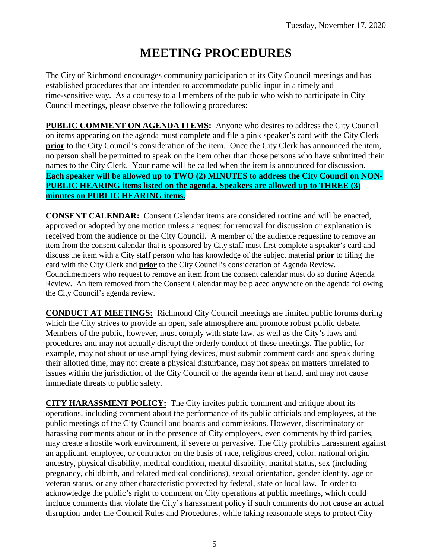# **MEETING PROCEDURES**

The City of Richmond encourages community participation at its City Council meetings and has established procedures that are intended to accommodate public input in a timely and time-sensitive way. As a courtesy to all members of the public who wish to participate in City Council meetings, please observe the following procedures:

**PUBLIC COMMENT ON AGENDA ITEMS:** Anyone who desires to address the City Council on items appearing on the agenda must complete and file a pink speaker's card with the City Clerk **prior** to the City Council's consideration of the item. Once the City Clerk has announced the item, no person shall be permitted to speak on the item other than those persons who have submitted their names to the City Clerk. Your name will be called when the item is announced for discussion. **Each speaker will be allowed up to TWO (2) MINUTES to address the City Council on NON-PUBLIC HEARING items listed on the agenda. Speakers are allowed up to THREE (3) minutes on PUBLIC HEARING items.**

**CONSENT CALENDAR:** Consent Calendar items are considered routine and will be enacted, approved or adopted by one motion unless a request for removal for discussion or explanation is received from the audience or the City Council. A member of the audience requesting to remove an item from the consent calendar that is sponsored by City staff must first complete a speaker's card and discuss the item with a City staff person who has knowledge of the subject material **prior** to filing the card with the City Clerk and **prior** to the City Council's consideration of Agenda Review. Councilmembers who request to remove an item from the consent calendar must do so during Agenda Review. An item removed from the Consent Calendar may be placed anywhere on the agenda following the City Council's agenda review.

**CONDUCT AT MEETINGS:** Richmond City Council meetings are limited public forums during which the City strives to provide an open, safe atmosphere and promote robust public debate. Members of the public, however, must comply with state law, as well as the City's laws and procedures and may not actually disrupt the orderly conduct of these meetings. The public, for example, may not shout or use amplifying devices, must submit comment cards and speak during their allotted time, may not create a physical disturbance, may not speak on matters unrelated to issues within the jurisdiction of the City Council or the agenda item at hand, and may not cause immediate threats to public safety.

**CITY HARASSMENT POLICY:** The City invites public comment and critique about its operations, including comment about the performance of its public officials and employees, at the public meetings of the City Council and boards and commissions. However, discriminatory or harassing comments about or in the presence of City employees, even comments by third parties, may create a hostile work environment, if severe or pervasive. The City prohibits harassment against an applicant, employee, or contractor on the basis of race, religious creed, color, national origin, ancestry, physical disability, medical condition, mental disability, marital status, sex (including pregnancy, childbirth, and related medical conditions), sexual orientation, gender identity, age or veteran status, or any other characteristic protected by federal, state or local law. In order to acknowledge the public's right to comment on City operations at public meetings, which could include comments that violate the City's harassment policy if such comments do not cause an actual disruption under the Council Rules and Procedures, while taking reasonable steps to protect City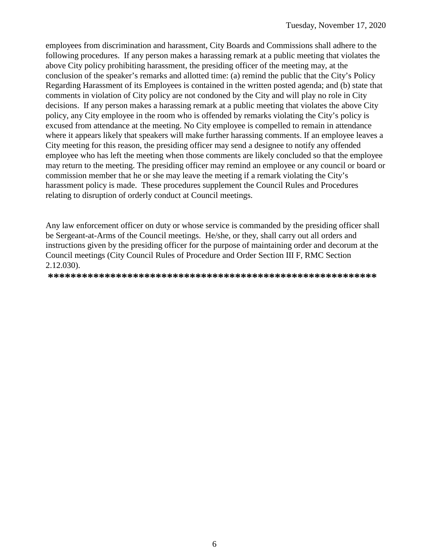employees from discrimination and harassment, City Boards and Commissions shall adhere to the following procedures. If any person makes a harassing remark at a public meeting that violates the above City policy prohibiting harassment, the presiding officer of the meeting may, at the conclusion of the speaker's remarks and allotted time: (a) remind the public that the City's Policy Regarding Harassment of its Employees is contained in the written posted agenda; and (b) state that comments in violation of City policy are not condoned by the City and will play no role in City decisions. If any person makes a harassing remark at a public meeting that violates the above City policy, any City employee in the room who is offended by remarks violating the City's policy is excused from attendance at the meeting. No City employee is compelled to remain in attendance where it appears likely that speakers will make further harassing comments. If an employee leaves a City meeting for this reason, the presiding officer may send a designee to notify any offended employee who has left the meeting when those comments are likely concluded so that the employee may return to the meeting. The presiding officer may remind an employee or any council or board or commission member that he or she may leave the meeting if a remark violating the City's harassment policy is made. These procedures supplement the Council Rules and Procedures relating to disruption of orderly conduct at Council meetings.

Any law enforcement officer on duty or whose service is commanded by the presiding officer shall be Sergeant-at-Arms of the Council meetings. He/she, or they, shall carry out all orders and instructions given by the presiding officer for the purpose of maintaining order and decorum at the Council meetings (City Council Rules of Procedure and Order Section III F, RMC Section 2.12.030).

**\*\*\*\*\*\*\*\*\*\*\*\*\*\*\*\*\*\*\*\*\*\*\*\*\*\*\*\*\*\*\*\*\*\*\*\*\*\*\*\*\*\*\*\*\*\*\*\*\*\*\*\*\*\*\*\*\*\***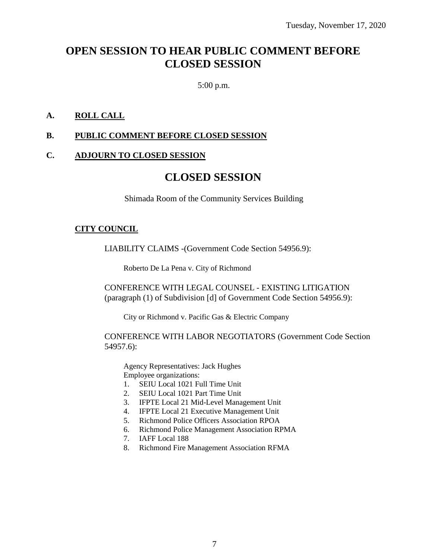# **OPEN SESSION TO HEAR PUBLIC COMMENT BEFORE CLOSED SESSION**

5:00 p.m.

### **A. ROLL CALL**

#### **B. PUBLIC COMMENT BEFORE CLOSED SESSION**

#### **C. ADJOURN TO CLOSED SESSION**

# **CLOSED SESSION**

Shimada Room of the Community Services Building

#### **CITY COUNCIL**

LIABILITY CLAIMS -(Government Code Section 54956.9):

Roberto De La Pena v. City of Richmond

CONFERENCE WITH LEGAL COUNSEL - EXISTING LITIGATION (paragraph (1) of Subdivision [d] of Government Code Section 54956.9):

City or Richmond v. Pacific Gas & Electric Company

CONFERENCE WITH LABOR NEGOTIATORS (Government Code Section 54957.6):

Agency Representatives: Jack Hughes Employee organizations:

- 1. SEIU Local 1021 Full Time Unit
- 2. SEIU Local 1021 Part Time Unit
- 3. IFPTE Local 21 Mid-Level Management Unit
- 4. IFPTE Local 21 Executive Management Unit
- 5. Richmond Police Officers Association RPOA
- 6. Richmond Police Management Association RPMA
- 7. IAFF Local 188
- 8. Richmond Fire Management Association RFMA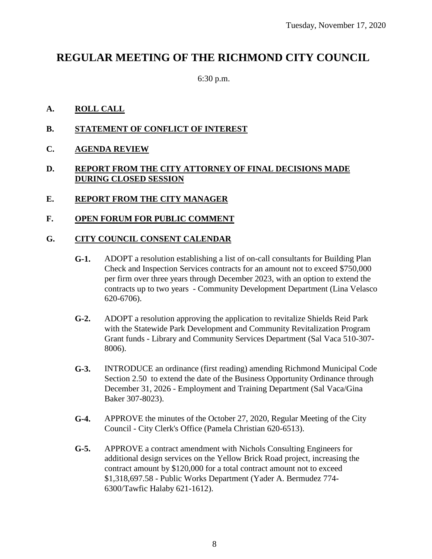# **REGULAR MEETING OF THE RICHMOND CITY COUNCIL**

6:30 p.m.

### **A. ROLL CALL**

- **B. STATEMENT OF CONFLICT OF INTEREST**
- **C. AGENDA REVIEW**

## **D. REPORT FROM THE CITY ATTORNEY OF FINAL DECISIONS MADE DURING CLOSED SESSION**

#### **E. REPORT FROM THE CITY MANAGER**

#### **F. OPEN FORUM FOR PUBLIC COMMENT**

### **G. CITY COUNCIL CONSENT CALENDAR**

- **G-1.** ADOPT a resolution establishing a list of on-call consultants for Building Plan Check and Inspection Services contracts for an amount not to exceed \$750,000 per firm over three years through December 2023, with an option to extend the contracts up to two years - Community Development Department (Lina Velasco 620-6706).
- **G-2.** ADOPT a resolution approving the application to revitalize Shields Reid Park with the Statewide Park Development and Community Revitalization Program Grant funds - Library and Community Services Department (Sal Vaca 510-307- 8006).
- **G-3.** INTRODUCE an ordinance (first reading) amending Richmond Municipal Code Section 2.50 to extend the date of the Business Opportunity Ordinance through December 31, 2026 - Employment and Training Department (Sal Vaca/Gina Baker 307-8023).
- **G-4.** APPROVE the minutes of the October 27, 2020, Regular Meeting of the City Council - City Clerk's Office (Pamela Christian 620-6513).
- **G-5.** APPROVE a contract amendment with Nichols Consulting Engineers for additional design services on the Yellow Brick Road project, increasing the contract amount by \$120,000 for a total contract amount not to exceed \$1,318,697.58 - Public Works Department (Yader A. Bermudez 774- 6300/Tawfic Halaby 621-1612).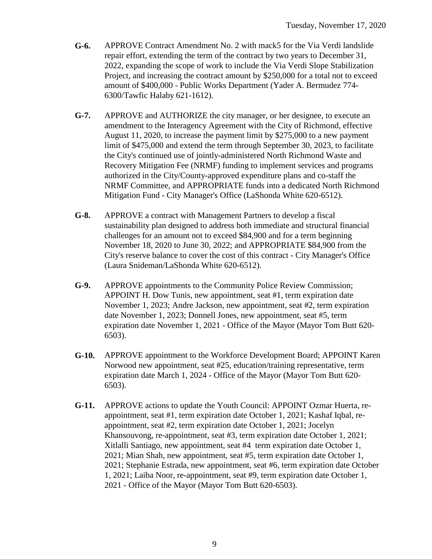- **G-6.** APPROVE Contract Amendment No. 2 with mack5 for the Via Verdi landslide repair effort, extending the term of the contract by two years to December 31, 2022, expanding the scope of work to include the Via Verdi Slope Stabilization Project, and increasing the contract amount by \$250,000 for a total not to exceed amount of \$400,000 - Public Works Department (Yader A. Bermudez 774- 6300/Tawfic Halaby 621-1612).
- **G-7.** APPROVE and AUTHORIZE the city manager, or her designee, to execute an amendment to the Interagency Agreement with the City of Richmond, effective August 11, 2020, to increase the payment limit by \$275,000 to a new payment limit of \$475,000 and extend the term through September 30, 2023, to facilitate the City's continued use of jointly-administered North Richmond Waste and Recovery Mitigation Fee (NRMF) funding to implement services and programs authorized in the City/County-approved expenditure plans and co-staff the NRMF Committee, and APPROPRIATE funds into a dedicated North Richmond Mitigation Fund - City Manager's Office (LaShonda White 620-6512).
- **G-8.** APPROVE a contract with Management Partners to develop a fiscal sustainability plan designed to address both immediate and structural financial challenges for an amount not to exceed \$84,900 and for a term beginning November 18, 2020 to June 30, 2022; and APPROPRIATE \$84,900 from the City's reserve balance to cover the cost of this contract - City Manager's Office (Laura Snideman/LaShonda White 620-6512).
- **G-9.** APPROVE appointments to the Community Police Review Commission; APPOINT H. Dow Tunis, new appointment, seat #1, term expiration date November 1, 2023; Andre Jackson, new appointment, seat #2, term expiration date November 1, 2023; Donnell Jones, new appointment, seat #5, term expiration date November 1, 2021 - Office of the Mayor (Mayor Tom Butt 620- 6503).
- **G-10.** APPROVE appointment to the Workforce Development Board; APPOINT Karen Norwood new appointment, seat #25, education/training representative, term expiration date March 1, 2024 - Office of the Mayor (Mayor Tom Butt 620- 6503).
- **G-11.** APPROVE actions to update the Youth Council: APPOINT Ozmar Huerta, reappointment, seat #1, term expiration date October 1, 2021; Kashaf Iqbal, reappointment, seat #2, term expiration date October 1, 2021; Jocelyn Khansouvong, re-appointment, seat #3, term expiration date October 1, 2021; Xitlalli Santiago, new appointment, seat #4 term expiration date October 1, 2021; Mian Shah, new appointment, seat #5, term expiration date October 1, 2021; Stephanie Estrada, new appointment, seat #6, term expiration date October 1, 2021; Laiba Noor, re-appointment, seat #9, term expiration date October 1, 2021 - Office of the Mayor (Mayor Tom Butt 620-6503).